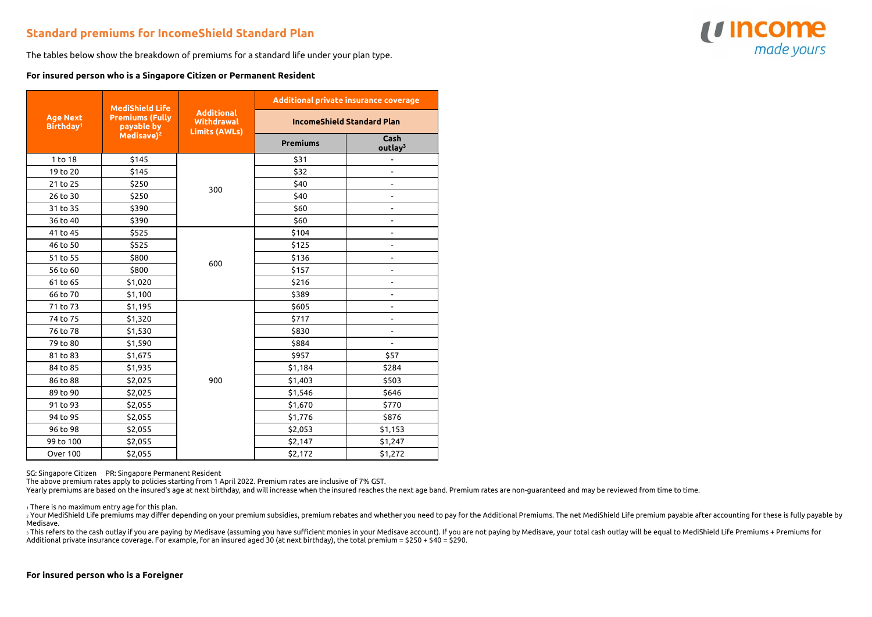## **Standard premiums for IncomeShield Standard Plan**

The tables below show the breakdown of premiums for a standard life under your plan type.

## **For insured person who is a Singapore Citizen or Permanent Resident**

| <b>Age Next</b><br>Birthday <sup>1</sup> | <b>MediShield Life</b><br><b>Premiums (Fully</b><br>payable by<br>Medisave) <sup>2</sup> | <b>Additional</b><br>Withdrawal<br><b>Limits (AWLs)</b> | Additional private insurance coverage |                             |
|------------------------------------------|------------------------------------------------------------------------------------------|---------------------------------------------------------|---------------------------------------|-----------------------------|
|                                          |                                                                                          |                                                         | <b>IncomeShield Standard Plan</b>     |                             |
|                                          |                                                                                          |                                                         | <b>Premiums</b>                       | Cash<br>outlay <sup>3</sup> |
| 1 to 18                                  | \$145                                                                                    |                                                         | \$31                                  | ÷,                          |
| 19 to 20                                 | \$145                                                                                    | 300                                                     | \$32                                  | ÷,                          |
| 21 to 25                                 | \$250                                                                                    |                                                         | \$40                                  | ÷,                          |
| 26 to 30                                 | \$250                                                                                    |                                                         | \$40                                  |                             |
| 31 to 35                                 | \$390                                                                                    |                                                         | \$60                                  | $\overline{a}$              |
| 36 to 40                                 | \$390                                                                                    |                                                         | \$60                                  | $\overline{\phantom{0}}$    |
| 41 to 45                                 | \$525                                                                                    | 600                                                     | \$104                                 | $\blacksquare$              |
| 46 to 50                                 | \$525                                                                                    |                                                         | \$125                                 | ÷,                          |
| 51 to 55                                 | \$800                                                                                    |                                                         | \$136                                 | ۰                           |
| 56 to 60                                 | \$800                                                                                    |                                                         | \$157                                 | ÷                           |
| 61 to 65                                 | \$1,020                                                                                  |                                                         | \$216                                 |                             |
| 66 to 70                                 | \$1,100                                                                                  |                                                         | \$389                                 |                             |
| 71 to 73                                 | \$1,195                                                                                  | 900                                                     | \$605                                 | $\overline{a}$              |
| 74 to 75                                 | \$1,320                                                                                  |                                                         | \$717                                 | -                           |
| 76 to 78                                 | \$1,530                                                                                  |                                                         | \$830                                 | ÷,                          |
| 79 to 80                                 | \$1,590                                                                                  |                                                         | \$884                                 | $\blacksquare$              |
| 81 to 83                                 | \$1,675                                                                                  |                                                         | \$957                                 | \$57                        |
| 84 to 85                                 | \$1,935                                                                                  |                                                         | \$1,184                               | \$284                       |
| 86 to 88                                 | \$2,025                                                                                  |                                                         | \$1,403                               | \$503                       |
| 89 to 90                                 | \$2,025                                                                                  |                                                         | \$1,546                               | \$646                       |
| 91 to 93                                 | \$2,055                                                                                  |                                                         | \$1,670                               | \$770                       |
| 94 to 95                                 | \$2,055                                                                                  |                                                         | \$1,776                               | \$876                       |
| 96 to 98                                 | \$2,055                                                                                  |                                                         | \$2,053                               | \$1,153                     |
| 99 to 100                                | \$2,055                                                                                  |                                                         | \$2,147                               | \$1,247                     |
| Over 100                                 | \$2,055                                                                                  |                                                         | \$2,172                               | \$1,272                     |

SG: Singapore Citizen PR: Singapore Permanent Resident

The above premium rates apply to policies starting from 1 April 2022. Premium rates are inclusive of 7% GST.

Yearly premiums are based on the insured's age at next birthday, and will increase when the insured reaches the next age band. Premium rates are non-guaranteed and may be reviewed from time to time.

 $1$  There is no maximum entry age for this plan.

2 Your MediShield Life premiums may differ depending on your premium subsidies, premium rebates and whether you need to pay for the Additional Premiums. The net MediShield Life premium payable after accounting for these is Medisave. 3 This refers to the cash outlay if you are paying by Medisave (assuming you have sufficient monies in your Medisave account). If you are not paying by Medisave, your total cash outlay will be equal to MediShield Life Prem

Additional private insurance coverage. For example, for an insured aged 30 (at next birthday), the total premium = \$250 + \$40 = \$290.